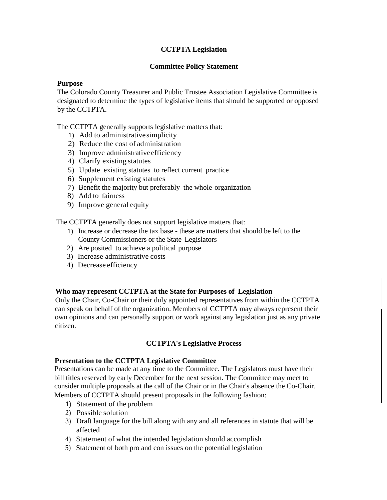# **CCTPTA Legislation**

### **Committee Policy Statement**

### **Purpose**

The Colorado County Treasurer and Public Trustee Association Legislative Committee is designated to determine the types of legislative items that should be supported or opposed by the CCTPTA.

The CCTPTA generally supports legislative matters that:

- 1) Add to administrativesimplicity
- 2) Reduce the cost of administration
- 3) Improve administrativeefficiency
- 4) Clarify existing statutes
- 5) Update existing statutes to reflect current practice
- 6) Supplement existing statutes
- 7) Benefit the majority but preferably the whole organization
- 8) Add to fairness
- 9) Improve general equity

The CCTPTA generally does not support legislative matters that:

- 1) Increase or decrease the tax base these are matters that should be left to the County Commissioners or the State Legislators
- 2) Are posited to achieve a political purpose
- 3) Increase administrative costs
- 4) Decrease efficiency

#### **Who may represent CCTPTA at the State for Purposes of Legislation**

Only the Chair, Co-Chair or their duly appointed representatives from within the CCTPTA can speak on behalf of the organization. Members of CCTPTA may always represent their own opinions and can personally support or work against any legislation just as any private citizen.

## **CCTPTA's Legislative Process**

#### **Presentation to the CCTPTA Legislative Committee**

Presentations can be made at any time to the Committee. The Legislators must have their bill titles reserved by early December for the next session. The Committee may meet to consider multiple proposals at the call of the Chair or in the Chair's absence the Co-Chair. Members of CCTPTA should present proposals in the following fashion:

- 1) Statement of the problem
- 2) Possible solution
- 3) Draft language for the bill along with any and all references in statute that will be affected
- 4) Statement of what the intended legislation should accomplish
- 5) Statement of both pro and con issues on the potential legislation